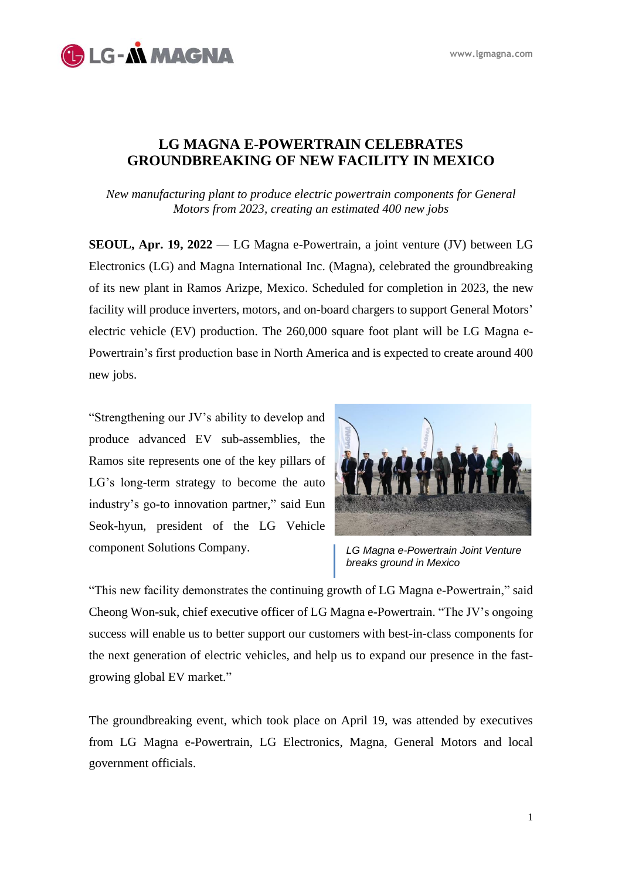

## **LG MAGNA E-POWERTRAIN CELEBRATES GROUNDBREAKING OF NEW FACILITY IN MEXICO**

*New manufacturing plant to produce electric powertrain components for General Motors from 2023, creating an estimated 400 new jobs* 

**SEOUL, Apr. 19, 2022** — LG Magna e-Powertrain, a joint venture (JV) between LG Electronics (LG) and Magna International Inc. (Magna), celebrated the groundbreaking of its new plant in Ramos Arizpe, Mexico. Scheduled for completion in 2023, the new facility will produce inverters, motors, and on-board chargers to support General Motors' electric vehicle (EV) production. The 260,000 square foot plant will be LG Magna e-Powertrain's first production base in North America and is expected to create around 400 new jobs.

"Strengthening our JV's ability to develop and produce advanced EV sub-assemblies, the Ramos site represents one of the key pillars of LG's long-term strategy to become the auto industry's go-to innovation partner," said Eun Seok-hyun, president of the LG Vehicle component Solutions Company.



*LG Magna e-Powertrain Joint Venture breaks ground in Mexico* 

"This new facility demonstrates the continuing growth of LG Magna e-Powertrain," said Cheong Won-suk, chief executive officer of LG Magna e-Powertrain. "The JV's ongoing success will enable us to better support our customers with best-in-class components for the next generation of electric vehicles, and help us to expand our presence in the fastgrowing global EV market."

The groundbreaking event, which took place on April 19, was attended by executives from LG Magna e-Powertrain, LG Electronics, Magna, General Motors and local government officials.